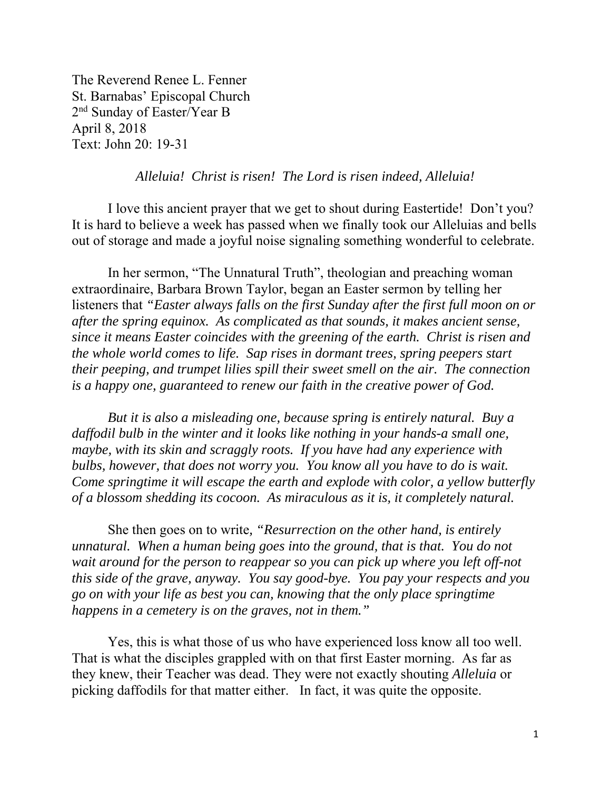The Reverend Renee L. Fenner St. Barnabas' Episcopal Church 2nd Sunday of Easter/Year B April 8, 2018 Text: John 20: 19-31

## *Alleluia! Christ is risen! The Lord is risen indeed, Alleluia!*

 I love this ancient prayer that we get to shout during Eastertide! Don't you? It is hard to believe a week has passed when we finally took our Alleluias and bells out of storage and made a joyful noise signaling something wonderful to celebrate.

 In her sermon, "The Unnatural Truth", theologian and preaching woman extraordinaire, Barbara Brown Taylor, began an Easter sermon by telling her listeners that *"Easter always falls on the first Sunday after the first full moon on or after the spring equinox. As complicated as that sounds, it makes ancient sense, since it means Easter coincides with the greening of the earth. Christ is risen and the whole world comes to life. Sap rises in dormant trees, spring peepers start their peeping, and trumpet lilies spill their sweet smell on the air. The connection is a happy one, guaranteed to renew our faith in the creative power of God.* 

*But it is also a misleading one, because spring is entirely natural. Buy a daffodil bulb in the winter and it looks like nothing in your hands-a small one, maybe, with its skin and scraggly roots. If you have had any experience with bulbs, however, that does not worry you. You know all you have to do is wait. Come springtime it will escape the earth and explode with color, a yellow butterfly of a blossom shedding its cocoon. As miraculous as it is, it completely natural.* 

She then goes on to write*, "Resurrection on the other hand, is entirely unnatural. When a human being goes into the ground, that is that. You do not wait around for the person to reappear so you can pick up where you left off-not this side of the grave, anyway. You say good-bye. You pay your respects and you go on with your life as best you can, knowing that the only place springtime happens in a cemetery is on the graves, not in them."* 

Yes, this is what those of us who have experienced loss know all too well. That is what the disciples grappled with on that first Easter morning. As far as they knew, their Teacher was dead. They were not exactly shouting *Alleluia* or picking daffodils for that matter either. In fact, it was quite the opposite.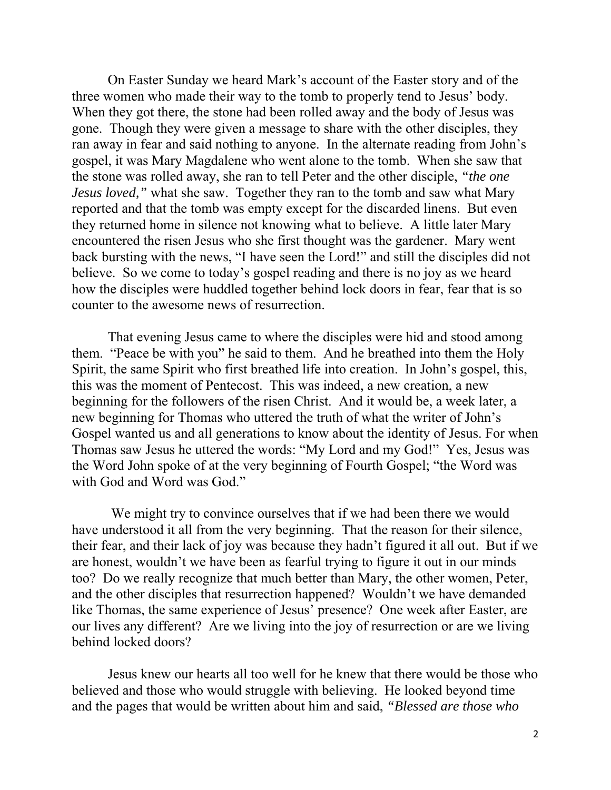On Easter Sunday we heard Mark's account of the Easter story and of the three women who made their way to the tomb to properly tend to Jesus' body. When they got there, the stone had been rolled away and the body of Jesus was gone. Though they were given a message to share with the other disciples, they ran away in fear and said nothing to anyone. In the alternate reading from John's gospel, it was Mary Magdalene who went alone to the tomb. When she saw that the stone was rolled away, she ran to tell Peter and the other disciple, *"the one Jesus loved,*" what she saw. Together they ran to the tomb and saw what Mary reported and that the tomb was empty except for the discarded linens. But even they returned home in silence not knowing what to believe. A little later Mary encountered the risen Jesus who she first thought was the gardener. Mary went back bursting with the news, "I have seen the Lord!" and still the disciples did not believe. So we come to today's gospel reading and there is no joy as we heard how the disciples were huddled together behind lock doors in fear, fear that is so counter to the awesome news of resurrection.

That evening Jesus came to where the disciples were hid and stood among them. "Peace be with you" he said to them. And he breathed into them the Holy Spirit, the same Spirit who first breathed life into creation. In John's gospel, this, this was the moment of Pentecost. This was indeed, a new creation, a new beginning for the followers of the risen Christ. And it would be, a week later, a new beginning for Thomas who uttered the truth of what the writer of John's Gospel wanted us and all generations to know about the identity of Jesus. For when Thomas saw Jesus he uttered the words: "My Lord and my God!" Yes, Jesus was the Word John spoke of at the very beginning of Fourth Gospel; "the Word was with God and Word was God."

 We might try to convince ourselves that if we had been there we would have understood it all from the very beginning. That the reason for their silence, their fear, and their lack of joy was because they hadn't figured it all out. But if we are honest, wouldn't we have been as fearful trying to figure it out in our minds too? Do we really recognize that much better than Mary, the other women, Peter, and the other disciples that resurrection happened? Wouldn't we have demanded like Thomas, the same experience of Jesus' presence? One week after Easter, are our lives any different? Are we living into the joy of resurrection or are we living behind locked doors?

Jesus knew our hearts all too well for he knew that there would be those who believed and those who would struggle with believing. He looked beyond time and the pages that would be written about him and said, *"Blessed are those who*